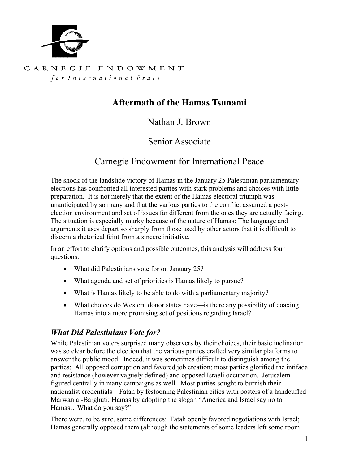

### CARNEGIE ENDOWMENT for International Peace

# **Aftermath of the Hamas Tsunami**

## Nathan J. Brown

### Senior Associate

## Carnegie Endowment for International Peace

The shock of the landslide victory of Hamas in the January 25 Palestinian parliamentary elections has confronted all interested parties with stark problems and choices with little preparation. It is not merely that the extent of the Hamas electoral triumph was unanticipated by so many and that the various parties to the conflict assumed a postelection environment and set of issues far different from the ones they are actually facing. The situation is especially murky because of the nature of Hamas: The language and arguments it uses depart so sharply from those used by other actors that it is difficult to discern a rhetorical feint from a sincere initiative.

In an effort to clarify options and possible outcomes, this analysis will address four questions:

- What did Palestinians vote for on January 25?
- What agenda and set of priorities is Hamas likely to pursue?
- What is Hamas likely to be able to do with a parliamentary majority?
- What choices do Western donor states have—is there any possibility of coaxing Hamas into a more promising set of positions regarding Israel?

### *What Did Palestinians Vote for?*

While Palestinian voters surprised many observers by their choices, their basic inclination was so clear before the election that the various parties crafted very similar platforms to answer the public mood. Indeed, it was sometimes difficult to distinguish among the parties: All opposed corruption and favored job creation; most parties glorified the intifada and resistance (however vaguely defined) and opposed Israeli occupation. Jerusalem figured centrally in many campaigns as well. Most parties sought to burnish their nationalist credentials—Fatah by festooning Palestinian cities with posters of a handcuffed Marwan al-Barghuti; Hamas by adopting the slogan "America and Israel say no to Hamas…What do you say?"

There were, to be sure, some differences: Fatah openly favored negotiations with Israel; Hamas generally opposed them (although the statements of some leaders left some room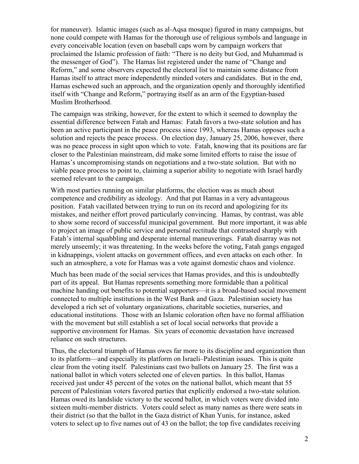for maneuver). Islamic images (such as al-Aqsa mosque) figured in many campaigns, but none could compete with Hamas for the thorough use of religious symbols and language in every conceivable location (even on baseball caps worn by campaign workers that proclaimed the Islamic profession of faith: "There is no deity but God, and Muhammad is the messenger of God"). The Hamas list registered under the name of "Change and Reform," and some observers expected the electoral list to maintain some distance from Hamas itself to attract more independently minded voters and candidates. But in the end, Hamas eschewed such an approach, and the organization openly and thoroughly identified itself with "Change and Reform," portraying itself as an arm of the Egyptian-based Muslim Brotherhood.

The campaign was striking, however, for the extent to which it seemed to downplay the essential difference between Fatah and Hamas: Fatah favors a two-state solution and has been an active participant in the peace process since 1993, whereas Hamas opposes such a solution and rejects the peace process. On election day, January 25, 2006, however, there was no peace process in sight upon which to vote. Fatah, knowing that its positions are far closer to the Palestinian mainstream, did make some limited efforts to raise the issue of Hamas's uncompromising stands on negotiations and a two-state solution. But with no viable peace process to point to, claiming a superior ability to negotiate with Israel hardly seemed relevant to the campaign.

With most parties running on similar platforms, the election was as much about competence and credibility as ideology. And that put Hamas in a very advantageous position. Fatah vacillated between trying to run on its record and apologizing for its mistakes, and neither effort proved particularly convincing. Hamas, by contrast, was able to show some record of successful municipal government. But more important, it was able to project an image of public service and personal rectitude that contrasted sharply with Fatah's internal squabbling and desperate internal maneuverings. Fatah disarray was not merely unseemly; it was threatening. In the weeks before the voting, Fatah gangs engaged in kidnappings, violent attacks on government offices, and even attacks on each other. In such an atmosphere, a vote for Hamas was a vote against domestic chaos and violence.

Much has been made of the social services that Hamas provides, and this is undoubtedly part of its appeal. But Hamas represents something more formidable than a political machine handing out benefits to potential supporters—it is a broad-based social movement connected to multiple institutions in the West Bank and Gaza. Palestinian society has developed a rich set of voluntary organizations, charitable societies, nurseries, and educational institutions. Those with an Islamic coloration often have no formal affiliation with the movement but still establish a set of local social networks that provide a supportive environment for Hamas. Six years of economic devastation have increased reliance on such structures.

Thus, the electoral triumph of Hamas owes far more to its discipline and organization than to its platform—and especially its platform on Israeli–Palestinian issues. This is quite clear from the voting itself. Palestinians cast two ballots on January 25. The first was a national ballot in which voters selected one of eleven parties. In this ballot, Hamas received just under 45 percent of the votes on the national ballot, which meant that 55 percent of Palestinian voters favored parties that explicitly endorsed a two-state solution. Hamas owed its landslide victory to the second ballot, in which voters were divided into sixteen multi-member districts. Voters could select as many names as there were seats in their district (so that the ballot in the Gaza district of Khan Yunis, for instance, asked voters to select up to five names out of 43 on the ballot; the top five candidates receiving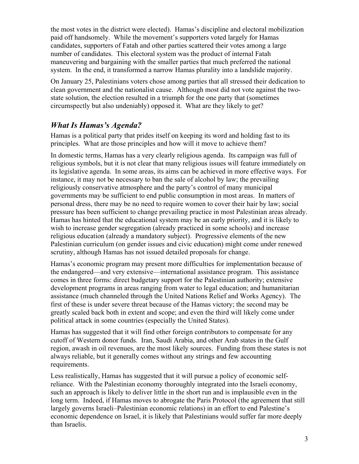the most votes in the district were elected). Hamas's discipline and electoral mobilization paid off handsomely. While the movement's supporters voted largely for Hamas candidates, supporters of Fatah and other parties scattered their votes among a large number of candidates. This electoral system was the product of internal Fatah maneuvering and bargaining with the smaller parties that much preferred the national system. In the end, it transformed a narrow Hamas plurality into a landslide majority.

On January 25, Palestinians voters chose among parties that all stressed their dedication to clean government and the nationalist cause. Although most did not vote against the twostate solution, the election resulted in a triumph for the one party that (sometimes circumspectly but also undeniably) opposed it. What are they likely to get?

### *What Is Hamas's Agenda?*

Hamas is a political party that prides itself on keeping its word and holding fast to its principles. What are those principles and how will it move to achieve them?

In domestic terms, Hamas has a very clearly religious agenda. Its campaign was full of religious symbols, but it is not clear that many religious issues will feature immediately on its legislative agenda. In some areas, its aims can be achieved in more effective ways. For instance, it may not be necessary to ban the sale of alcohol by law; the prevailing religiously conservative atmosphere and the party's control of many municipal governments may be sufficient to end public consumption in most areas. In matters of personal dress, there may be no need to require women to cover their hair by law; social pressure has been sufficient to change prevailing practice in most Palestinian areas already. Hamas has hinted that the educational system may be an early priority, and it is likely to wish to increase gender segregation (already practiced in some schools) and increase religious education (already a mandatory subject). Progressive elements of the new Palestinian curriculum (on gender issues and civic education) might come under renewed scrutiny, although Hamas has not issued detailed proposals for change.

Hamas's economic program may present more difficulties for implementation because of the endangered—and very extensive—international assistance program. This assistance comes in three forms: direct budgetary support for the Palestinian authority; extensive development programs in areas ranging from water to legal education; and humanitarian assistance (much channeled through the United Nations Relief and Works Agency). The first of these is under severe threat because of the Hamas victory; the second may be greatly scaled back both in extent and scope; and even the third will likely come under political attack in some countries (especially the United States).

Hamas has suggested that it will find other foreign contributors to compensate for any cutoff of Western donor funds. Iran, Saudi Arabia, and other Arab states in the Gulf region, awash in oil revenues, are the most likely sources. Funding from these states is not always reliable, but it generally comes without any strings and few accounting requirements.

Less realistically, Hamas has suggested that it will pursue a policy of economic selfreliance. With the Palestinian economy thoroughly integrated into the Israeli economy, such an approach is likely to deliver little in the short run and is implausible even in the long term. Indeed, if Hamas moves to abrogate the Paris Protocol (the agreement that still largely governs Israeli–Palestinian economic relations) in an effort to end Palestine's economic dependence on Israel, it is likely that Palestinians would suffer far more deeply than Israelis.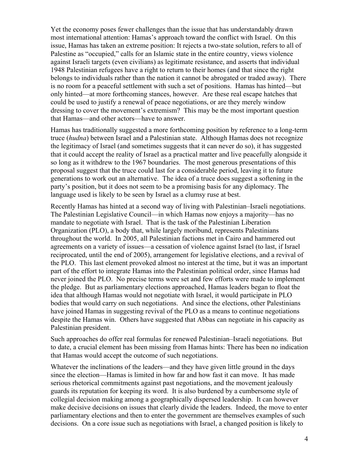Yet the economy poses fewer challenges than the issue that has understandably drawn most international attention: Hamas's approach toward the conflict with Israel. On this issue, Hamas has taken an extreme position: It rejects a two-state solution, refers to all of Palestine as "occupied," calls for an Islamic state in the entire country, views violence against Israeli targets (even civilians) as legitimate resistance, and asserts that individual 1948 Palestinian refugees have a right to return to their homes (and that since the right belongs to individuals rather than the nation it cannot be abrogated or traded away). There is no room for a peaceful settlement with such a set of positions. Hamas has hinted—but only hinted—at more forthcoming stances, however. Are these real escape hatches that could be used to justify a renewal of peace negotiations, or are they merely window dressing to cover the movement's extremism? This may be the most important question that Hamas—and other actors—have to answer.

Hamas has traditionally suggested a more forthcoming position by reference to a long-term truce (*hudna*) between Israel and a Palestinian state. Although Hamas does not recognize the legitimacy of Israel (and sometimes suggests that it can never do so), it has suggested that it could accept the reality of Israel as a practical matter and live peacefully alongside it so long as it withdrew to the 1967 boundaries. The most generous presentations of this proposal suggest that the truce could last for a considerable period, leaving it to future generations to work out an alternative. The idea of a truce does suggest a softening in the party's position, but it does not seem to be a promising basis for any diplomacy. The language used is likely to be seen by Israel as a clumsy ruse at best.

Recently Hamas has hinted at a second way of living with Palestinian–Israeli negotiations. The Palestinian Legislative Council—in which Hamas now enjoys a majority—has no mandate to negotiate with Israel. That is the task of the Palestinian Liberation Organization (PLO), a body that, while largely moribund, represents Palestinians throughout the world. In 2005, all Palestinian factions met in Cairo and hammered out agreements on a variety of issues—a cessation of violence against Israel (to last, if Israel reciprocated, until the end of 2005), arrangement for legislative elections, and a revival of the PLO. This last element provoked almost no interest at the time, but it was an important part of the effort to integrate Hamas into the Palestinian political order, since Hamas had never joined the PLO. No precise terms were set and few efforts were made to implement the pledge. But as parliamentary elections approached, Hamas leaders began to float the idea that although Hamas would not negotiate with Israel, it would participate in PLO bodies that would carry on such negotiations. And since the elections, other Palestinians have joined Hamas in suggesting revival of the PLO as a means to continue negotiations despite the Hamas win. Others have suggested that Abbas can negotiate in his capacity as Palestinian president.

Such approaches do offer real formulas for renewed Palestinian–Israeli negotiations. But to date, a crucial element has been missing from Hamas hints: There has been no indication that Hamas would accept the outcome of such negotiations.

Whatever the inclinations of the leaders—and they have given little ground in the days since the election—Hamas is limited in how far and how fast it can move. It has made serious rhetorical commitments against past negotiations, and the movement jealously guards its reputation for keeping its word. It is also burdened by a cumbersome style of collegial decision making among a geographically dispersed leadership. It can however make decisive decisions on issues that clearly divide the leaders. Indeed, the move to enter parliamentary elections and then to enter the government are themselves examples of such decisions. On a core issue such as negotiations with Israel, a changed position is likely to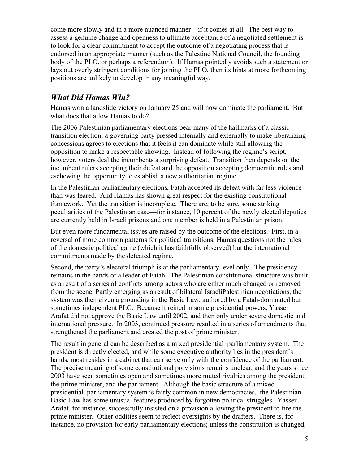come more slowly and in a more nuanced manner—if it comes at all. The best way to assess a genuine change and openness to ultimate acceptance of a negotiated settlement is to look for a clear commitment to accept the outcome of a negotiating process that is endorsed in an appropriate manner (such as the Palestine National Council, the founding body of the PLO, or perhaps a referendum). If Hamas pointedly avoids such a statement or lays out overly stringent conditions for joining the PLO, then its hints at more forthcoming positions are unlikely to develop in any meaningful way.

## *What Did Hamas Win?*

Hamas won a landslide victory on January 25 and will now dominate the parliament. But what does that allow Hamas to do?

The 2006 Palestinian parliamentary elections bear many of the hallmarks of a classic transition election: a governing party pressed internally and externally to make liberalizing concessions agrees to elections that it feels it can dominate while still allowing the opposition to make a respectable showing. Instead of following the regime's script, however, voters deal the incumbents a surprising defeat. Transition then depends on the incumbent rulers accepting their defeat and the opposition accepting democratic rules and eschewing the opportunity to establish a new authoritarian regime.

In the Palestinian parliamentary elections, Fatah accepted its defeat with far less violence than was feared. And Hamas has shown great respect for the existing constitutional framework. Yet the transition is incomplete. There are, to be sure, some striking peculiarities of the Palestinian case—for instance, 10 percent of the newly elected deputies are currently held in Israeli prisons and one member is held in a Palestinian prison.

But even more fundamental issues are raised by the outcome of the elections. First, in a reversal of more common patterns for political transitions, Hamas questions not the rules of the domestic political game (which it has faithfully observed) but the international commitments made by the defeated regime.

Second, the party's electoral triumph is at the parliamentary level only. The presidency remains in the hands of a leader of Fatah. The Palestinian constitutional structure was built as a result of a series of conflicts among actors who are either much changed or removed from the scene. Partly emerging as a result of bilateral IsraeliPalestinian negotiations, the system was then given a grounding in the Basic Law, authored by a Fatah-dominated but sometimes independent PLC. Because it reined in some presidential powers, Yasser Arafat did not approve the Basic Law until 2002, and then only under severe domestic and international pressure. In 2003, continued pressure resulted in a series of amendments that strengthened the parliament and created the post of prime minister.

The result in general can be described as a mixed presidential–parliamentary system. The president is directly elected, and while some executive authority lies in the president's hands, most resides in a cabinet that can serve only with the confidence of the parliament. The precise meaning of some constitutional provisions remains unclear, and the years since 2003 have seen sometimes open and sometimes more muted rivalries among the president, the prime minister, and the parliament. Although the basic structure of a mixed presidential–parliamentary system is fairly common in new democracies, the Palestinian Basic Law has some unusual features produced by forgotten political struggles. Yasser Arafat, for instance, successfully insisted on a provision allowing the president to fire the prime minister. Other oddities seem to reflect oversights by the drafters. There is, for instance, no provision for early parliamentary elections; unless the constitution is changed,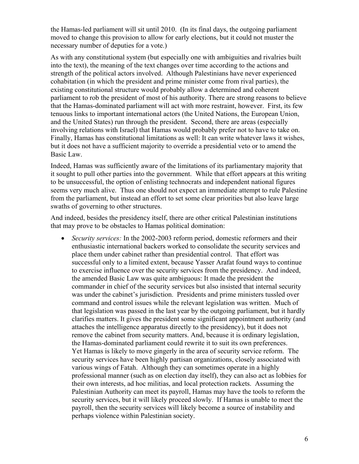the Hamas-led parliament will sit until 2010. (In its final days, the outgoing parliament moved to change this provision to allow for early elections, but it could not muster the necessary number of deputies for a vote.)

As with any constitutional system (but especially one with ambiguities and rivalries built into the text), the meaning of the text changes over time according to the actions and strength of the political actors involved. Although Palestinians have never experienced cohabitation (in which the president and prime minister come from rival parties), the existing constitutional structure would probably allow a determined and coherent parliament to rob the president of most of his authority. There are strong reasons to believe that the Hamas-dominated parliament will act with more restraint, however. First, its few tenuous links to important international actors (the United Nations, the European Union, and the United States) run through the president. Second, there are areas (especially involving relations with Israel) that Hamas would probably prefer not to have to take on. Finally, Hamas has constitutional limitations as well: It can write whatever laws it wishes, but it does not have a sufficient majority to override a presidential veto or to amend the Basic Law.

Indeed, Hamas was sufficiently aware of the limitations of its parliamentary majority that it sought to pull other parties into the government. While that effort appears at this writing to be unsuccessful, the option of enlisting technocrats and independent national figures seems very much alive. Thus one should not expect an immediate attempt to rule Palestine from the parliament, but instead an effort to set some clear priorities but also leave large swaths of governing to other structures.

And indeed, besides the presidency itself, there are other critical Palestinian institutions that may prove to be obstacles to Hamas political domination:

• *Security services:* In the 2002-2003 reform period, domestic reformers and their enthusiastic international backers worked to consolidate the security services and place them under cabinet rather than presidential control. That effort was successful only to a limited extent, because Yasser Arafat found ways to continue to exercise influence over the security services from the presidency. And indeed, the amended Basic Law was quite ambiguous: It made the president the commander in chief of the security services but also insisted that internal security was under the cabinet's jurisdiction. Presidents and prime ministers tussled over command and control issues while the relevant legislation was written. Much of that legislation was passed in the last year by the outgoing parliament, but it hardly clarifies matters. It gives the president some significant appointment authority (and attaches the intelligence apparatus directly to the presidency), but it does not remove the cabinet from security matters. And, because it is ordinary legislation, the Hamas-dominated parliament could rewrite it to suit its own preferences. Yet Hamas is likely to move gingerly in the area of security service reform. The security services have been highly partisan organizations, closely associated with various wings of Fatah. Although they can sometimes operate in a highly professional manner (such as on election day itself), they can also act as lobbies for their own interests, ad hoc militias, and local protection rackets. Assuming the Palestinian Authority can meet its payroll, Hamas may have the tools to reform the security services, but it will likely proceed slowly. If Hamas is unable to meet the payroll, then the security services will likely become a source of instability and perhaps violence within Palestinian society.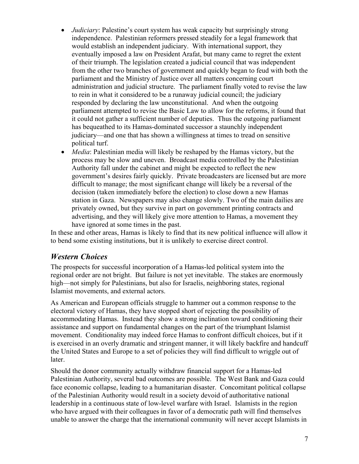- *Judiciary*: Palestine's court system has weak capacity but surprisingly strong independence. Palestinian reformers pressed steadily for a legal framework that would establish an independent judiciary. With international support, they eventually imposed a law on President Arafat, but many came to regret the extent of their triumph. The legislation created a judicial council that was independent from the other two branches of government and quickly began to feud with both the parliament and the Ministry of Justice over all matters concerning court administration and judicial structure. The parliament finally voted to revise the law to rein in what it considered to be a runaway judicial council; the judiciary responded by declaring the law unconstitutional. And when the outgoing parliament attempted to revise the Basic Law to allow for the reforms, it found that it could not gather a sufficient number of deputies. Thus the outgoing parliament has bequeathed to its Hamas-dominated successor a staunchly independent judiciary—and one that has shown a willingness at times to tread on sensitive political turf.
- *Media*: Palestinian media will likely be reshaped by the Hamas victory, but the process may be slow and uneven. Broadcast media controlled by the Palestinian Authority fall under the cabinet and might be expected to reflect the new government's desires fairly quickly. Private broadcasters are licensed but are more difficult to manage; the most significant change will likely be a reversal of the decision (taken immediately before the election) to close down a new Hamas station in Gaza. Newspapers may also change slowly. Two of the main dailies are privately owned, but they survive in part on government printing contracts and advertising, and they will likely give more attention to Hamas, a movement they have ignored at some times in the past.

In these and other areas, Hamas is likely to find that its new political influence will allow it to bend some existing institutions, but it is unlikely to exercise direct control.

#### *Western Choices*

The prospects for successful incorporation of a Hamas-led political system into the regional order are not bright. But failure is not yet inevitable. The stakes are enormously high—not simply for Palestinians, but also for Israelis, neighboring states, regional Islamist movements, and external actors.

As American and European officials struggle to hammer out a common response to the electoral victory of Hamas, they have stopped short of rejecting the possibility of accommodating Hamas. Instead they show a strong inclination toward conditioning their assistance and support on fundamental changes on the part of the triumphant Islamist movement. Conditionality may indeed force Hamas to confront difficult choices, but if it is exercised in an overly dramatic and stringent manner, it will likely backfire and handcuff the United States and Europe to a set of policies they will find difficult to wriggle out of later.

Should the donor community actually withdraw financial support for a Hamas-led Palestinian Authority, several bad outcomes are possible. The West Bank and Gaza could face economic collapse, leading to a humanitarian disaster. Concomitant political collapse of the Palestinian Authority would result in a society devoid of authoritative national leadership in a continuous state of low-level warfare with Israel. Islamists in the region who have argued with their colleagues in favor of a democratic path will find themselves unable to answer the charge that the international community will never accept Islamists in